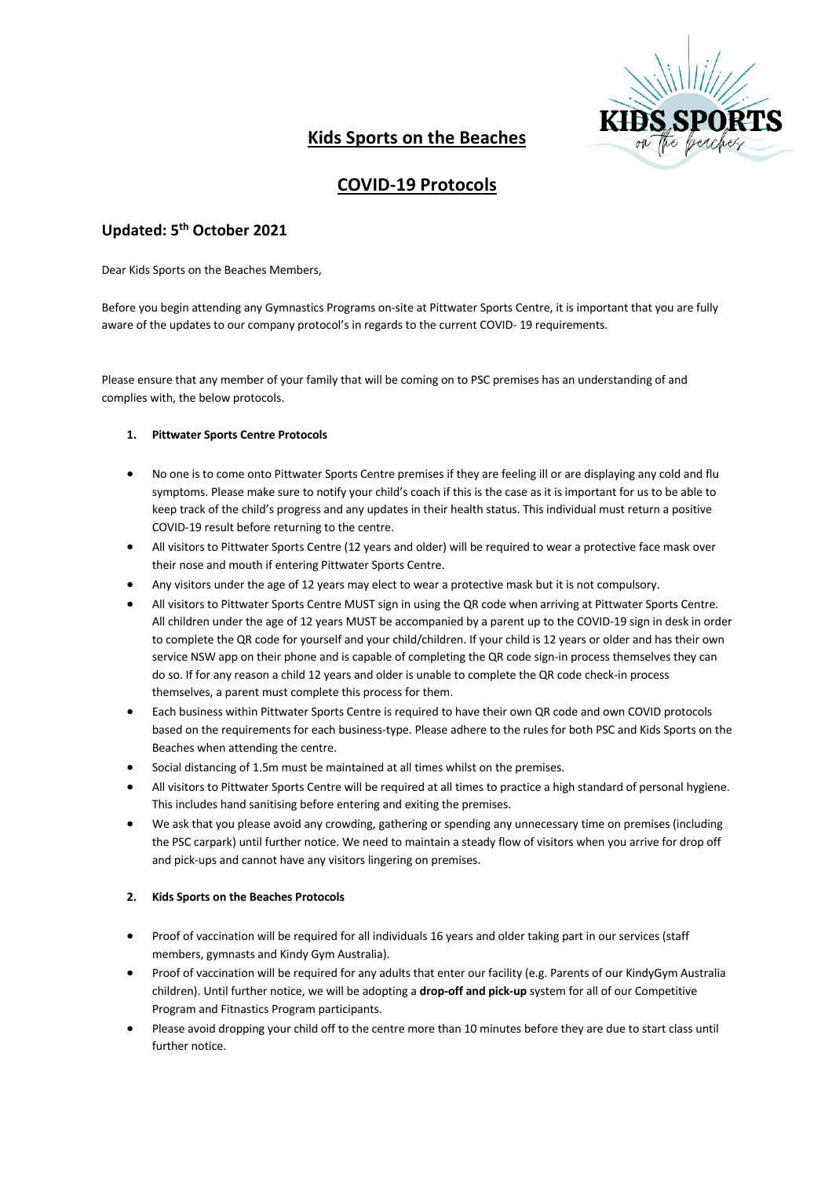

# **Kids Sports on the Beaches**

## **COVID-19 Protocols**

### **Updated: 5th October 2021**

Dear Kids Sports on the Beaches Members,

Before you begin attending any Gymnastics Programs on-site at Pittwater Sports Centre, it is important that you are fully aware of the updates to our company protocol's in regards to the current COVID- 19 requirements.

Please ensure that any member of your family that will be coming on to PSC premises has an understanding of and complies with, the below protocols.

#### **1. Pittwater Sports Centre Protocols**

- No one is to come onto Pittwater Sports Centre premises if they are feeling ill or are displaying any cold and flu symptoms. Please make sure to notify your child's coach if this is the case as it is important for us to be able to keep track of the child's progress and any updates in their health status. This individual must return a positive COVID-19 result before returning to the centre.
- All visitors to Pittwater Sports Centre (12 years and older) will be required to wear a protective face mask over their nose and mouth if entering Pittwater Sports Centre.
- Any visitors under the age of 12 years may elect to wear a protective mask but it is not compulsory.
- All visitors to Pittwater Sports Centre MUST sign in using the QR code when arriving at Pittwater Sports Centre. All children under the age of 12 years MUST be accompanied by a parent up to the COVID-19 sign in desk in order to complete the QR code for yourself and your child/children. If your child is 12 years or older and has their own service NSW app on their phone and is capable of completing the QR code sign-in process themselves they can do so. If for any reason a child 12 years and older is unable to complete the QR code check-in process themselves, a parent must complete this process for them.
- Each business within Pittwater Sports Centre is required to have their own QR code and own COVID protocols based on the requirements for each business-type. Please adhere to the rules for both PSC and Kids Sports on the Beaches when attending the centre.
- Social distancing of 1.5m must be maintained at all times whilst on the premises.
- All visitors to Pittwater Sports Centre will be required at all times to practice a high standard of personal hygiene. This includes hand sanitising before entering and exiting the premises.
- We ask that you please avoid any crowding, gathering or spending any unnecessary time on premises (including the PSC carpark) until further notice. We need to maintain a steady flow of visitors when you arrive for drop off and pick-ups and cannot have any visitors lingering on premises.

#### **2. Kids Sports on the Beaches Protocols**

- Proof of vaccination will be required for all individuals 16 years and older taking part in our services (staff members, gymnasts and Kindy Gym Australia).
- Proof of vaccination will be required for any adults that enter our facility (e.g. Parents of our KindyGym Australia children). Until further notice, we will be adopting a **drop-off and pick-up** system for all of our Competitive Program and Fitnastics Program participants.
- Please avoid dropping your child off to the centre more than 10 minutes before they are due to start class until further notice.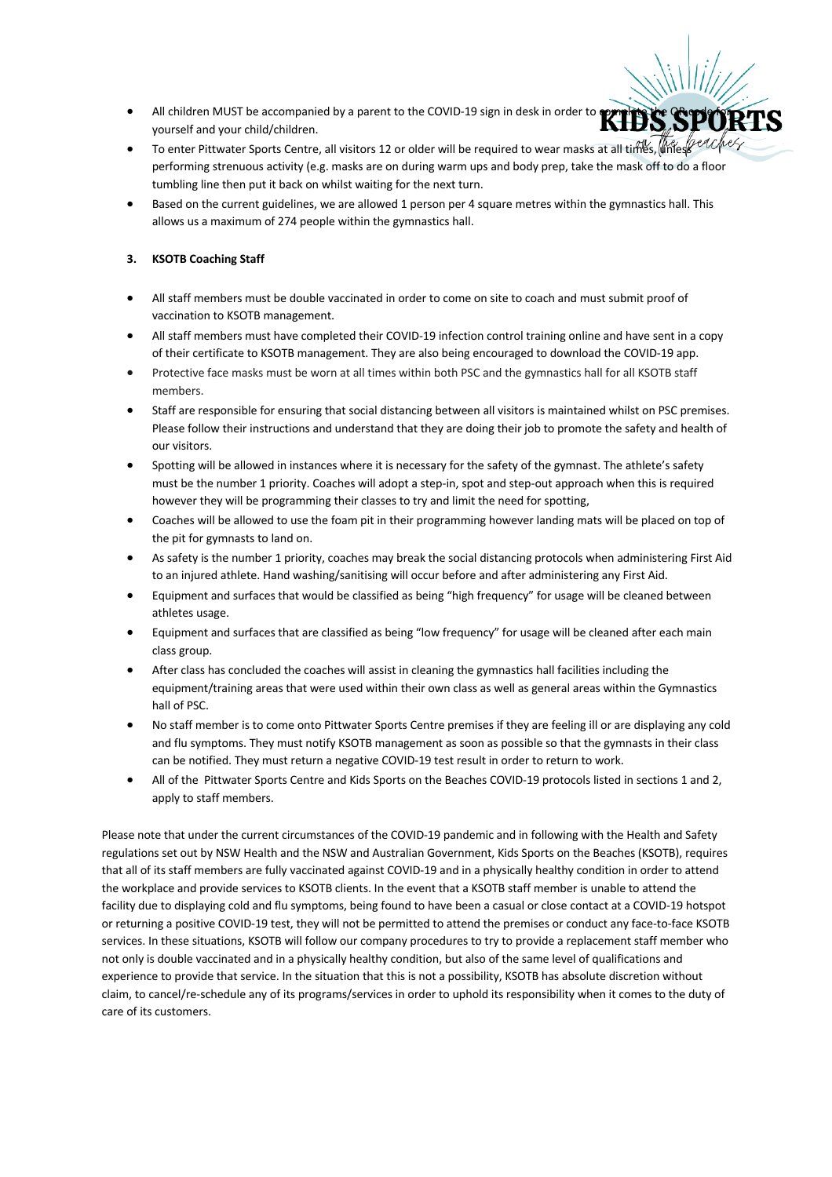- All children MUST be accompanied by a parent to the COVID-19 sign in desk in order to **complete the CO** yourself and your child/children.
- To enter Pittwater Sports Centre, all visitors 12 or older will be required to wear masks at all times, unless performing strenuous activity (e.g. masks are on during warm ups and body prep, take the mask off to do a floor tumbling line then put it back on whilst waiting for the next turn.
- Based on the current guidelines, we are allowed 1 person per 4 square metres within the gymnastics hall. This allows us a maximum of 274 people within the gymnastics hall.

#### **3. KSOTB Coaching Staff**

- All staff members must be double vaccinated in order to come on site to coach and must submit proof of vaccination to KSOTB management.
- All staff members must have completed their COVID-19 infection control training online and have sent in a copy of their certificate to KSOTB management. They are also being encouraged to download the COVID-19 app.
- Protective face masks must be worn at all times within both PSC and the gymnastics hall for all KSOTB staff members.
- Staff are responsible for ensuring that social distancing between all visitors is maintained whilst on PSC premises. Please follow their instructions and understand that they are doing their job to promote the safety and health of our visitors.
- Spotting will be allowed in instances where it is necessary for the safety of the gymnast. The athlete's safety must be the number 1 priority. Coaches will adopt a step-in, spot and step-out approach when this is required however they will be programming their classes to try and limit the need for spotting,
- Coaches will be allowed to use the foam pit in their programming however landing mats will be placed on top of the pit for gymnasts to land on.
- As safety is the number 1 priority, coaches may break the social distancing protocols when administering First Aid to an injured athlete. Hand washing/sanitising will occur before and after administering any First Aid.
- Equipment and surfaces that would be classified as being "high frequency" for usage will be cleaned between athletes usage.
- Equipment and surfaces that are classified as being "low frequency" for usage will be cleaned after each main class group.
- After class has concluded the coaches will assist in cleaning the gymnastics hall facilities including the equipment/training areas that were used within their own class as well as general areas within the Gymnastics hall of PSC.
- No staff member is to come onto Pittwater Sports Centre premises if they are feeling ill or are displaying any cold and flu symptoms. They must notify KSOTB management as soon as possible so that the gymnasts in their class can be notified. They must return a negative COVID-19 test result in order to return to work.
- All of the Pittwater Sports Centre and Kids Sports on the Beaches COVID-19 protocols listed in sections 1 and 2, apply to staff members.

Please note that under the current circumstances of the COVID-19 pandemic and in following with the Health and Safety regulations set out by NSW Health and the NSW and Australian Government, Kids Sports on the Beaches (KSOTB), requires that all of its staff members are fully vaccinated against COVID-19 and in a physically healthy condition in order to attend the workplace and provide services to KSOTB clients. In the event that a KSOTB staff member is unable to attend the facility due to displaying cold and flu symptoms, being found to have been a casual or close contact at a COVID-19 hotspot or returning a positive COVID-19 test, they will not be permitted to attend the premises or conduct any face-to-face KSOTB services. In these situations, KSOTB will follow our company procedures to try to provide a replacement staff member who not only is double vaccinated and in a physically healthy condition, but also of the same level of qualifications and experience to provide that service. In the situation that this is not a possibility, KSOTB has absolute discretion without claim, to cancel/re-schedule any of its programs/services in order to uphold its responsibility when it comes to the duty of care of its customers.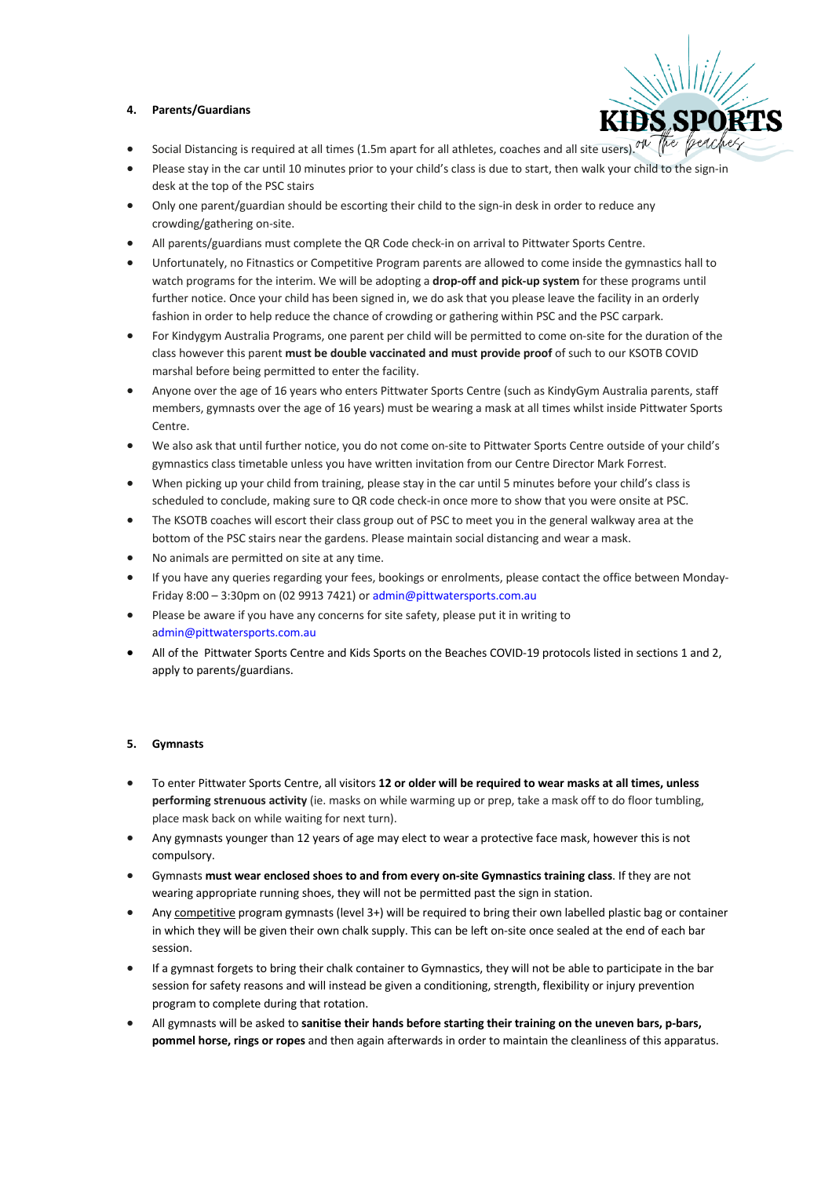#### **4. Parents/Guardians**



- Social Distancing is required at all times (1.5m apart for all athletes, coaches and all site users). <sup>The</sup> frequent
- Please stay in the car until 10 minutes prior to your child's class is due to start, then walk your child to the sign-in desk at the top of the PSC stairs
- Only one parent/guardian should be escorting their child to the sign-in desk in order to reduce any crowding/gathering on-site.
- All parents/guardians must complete the QR Code check-in on arrival to Pittwater Sports Centre.
- Unfortunately, no Fitnastics or Competitive Program parents are allowed to come inside the gymnastics hall to watch programs for the interim. We will be adopting a **drop-off and pick-up system** for these programs until further notice. Once your child has been signed in, we do ask that you please leave the facility in an orderly fashion in order to help reduce the chance of crowding or gathering within PSC and the PSC carpark.
- For Kindygym Australia Programs, one parent per child will be permitted to come on-site for the duration of the class however this parent **must be double vaccinated and must provide proof** of such to our KSOTB COVID marshal before being permitted to enter the facility.
- Anyone over the age of 16 years who enters Pittwater Sports Centre (such as KindyGym Australia parents, staff members, gymnasts over the age of 16 years) must be wearing a mask at all times whilst inside Pittwater Sports Centre.
- We also ask that until further notice, you do not come on-site to Pittwater Sports Centre outside of your child's gymnastics class timetable unless you have written invitation from our Centre Director Mark Forrest.
- When picking up your child from training, please stay in the car until 5 minutes before your child's class is scheduled to conclude, making sure to QR code check-in once more to show that you were onsite at PSC.
- The KSOTB coaches will escort their class group out of PSC to meet you in the general walkway area at the bottom of the PSC stairs near the gardens. Please maintain social distancing and wear a mask.
- No animals are permitted on site at any time.
- If you have any queries regarding your fees, bookings or enrolments, please contact the office between Monday-Friday 8:00 – 3:30pm on (02 9913 7421) or admin@pittwatersports.com.au
- Please be aware if you have any concerns for site safety, please put it in writing to admin@pittwatersports.com.au
- All of the Pittwater Sports Centre and Kids Sports on the Beaches COVID-19 protocols listed in sections 1 and 2, apply to parents/guardians.

#### **5. Gymnasts**

- To enter Pittwater Sports Centre, all visitors **12 or older will be required to wear masks at all times, unless performing strenuous activity** (ie. masks on while warming up or prep, take a mask off to do floor tumbling, place mask back on while waiting for next turn).
- Any gymnasts younger than 12 years of age may elect to wear a protective face mask, however this is not compulsory.
- Gymnasts **must wear enclosed shoes to and from every on-site Gymnastics training class**. If they are not wearing appropriate running shoes, they will not be permitted past the sign in station.
- Any competitive program gymnasts (level 3+) will be required to bring their own labelled plastic bag or container in which they will be given their own chalk supply. This can be left on-site once sealed at the end of each bar session.
- If a gymnast forgets to bring their chalk container to Gymnastics, they will not be able to participate in the bar session for safety reasons and will instead be given a conditioning, strength, flexibility or injury prevention program to complete during that rotation.
- All gymnasts will be asked to **sanitise their hands before starting their training on the uneven bars, p-bars, pommel horse, rings or ropes** and then again afterwards in order to maintain the cleanliness of this apparatus.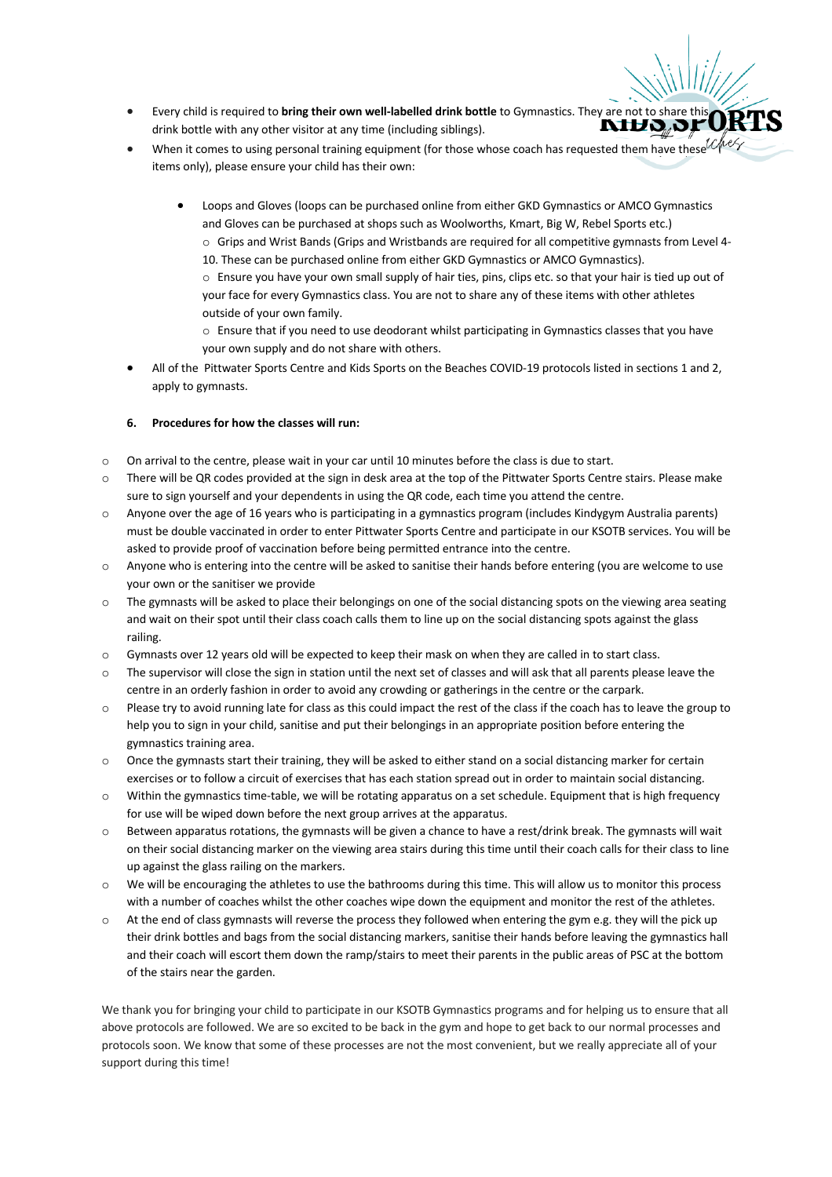- **Every child is required to bring their own well-labelled drink bottle** to Gymnastics. They are not to share the drink bottle with any other visitor at any time (including siblings) drink bottle with any other visitor at any time (including siblings).
- When it comes to using personal training equipment (for those whose coach has requested them have these<sup>1</sup> items only), please ensure your child has their own:
	- Loops and Gloves (loops can be purchased online from either GKD Gymnastics or AMCO Gymnastics and Gloves can be purchased at shops such as Woolworths, Kmart, Big W, Rebel Sports etc.) o Grips and Wrist Bands (Grips and Wristbands are required for all competitive gymnasts from Level 4- 10. These can be purchased online from either GKD Gymnastics or AMCO Gymnastics). o Ensure you have your own small supply of hair ties, pins, clips etc. so that your hair is tied up out of your face for every Gymnastics class. You are not to share any of these items with other athletes outside of your own family.
		- o Ensure that if you need to use deodorant whilst participating in Gymnastics classes that you have your own supply and do not share with others.
- All of the Pittwater Sports Centre and Kids Sports on the Beaches COVID-19 protocols listed in sections 1 and 2, apply to gymnasts.

#### **6. Procedures for how the classes will run:**

- o On arrival to the centre, please wait in your car until 10 minutes before the class is due to start.
- o There will be QR codes provided at the sign in desk area at the top of the Pittwater Sports Centre stairs. Please make sure to sign yourself and your dependents in using the QR code, each time you attend the centre.
- $\circ$  Anyone over the age of 16 years who is participating in a gymnastics program (includes Kindygym Australia parents) must be double vaccinated in order to enter Pittwater Sports Centre and participate in our KSOTB services. You will be asked to provide proof of vaccination before being permitted entrance into the centre.
- o Anyone who is entering into the centre will be asked to sanitise their hands before entering (you are welcome to use your own or the sanitiser we provide
- o The gymnasts will be asked to place their belongings on one of the social distancing spots on the viewing area seating and wait on their spot until their class coach calls them to line up on the social distancing spots against the glass railing.
- o Gymnasts over 12 years old will be expected to keep their mask on when they are called in to start class.
- o The supervisor will close the sign in station until the next set of classes and will ask that all parents please leave the centre in an orderly fashion in order to avoid any crowding or gatherings in the centre or the carpark.
- o Please try to avoid running late for class as this could impact the rest of the class if the coach has to leave the group to help you to sign in your child, sanitise and put their belongings in an appropriate position before entering the gymnastics training area.
- $\circ$  Once the gymnasts start their training, they will be asked to either stand on a social distancing marker for certain exercises or to follow a circuit of exercises that has each station spread out in order to maintain social distancing.
- o Within the gymnastics time-table, we will be rotating apparatus on a set schedule. Equipment that is high frequency for use will be wiped down before the next group arrives at the apparatus.
- $\circ$  Between apparatus rotations, the gymnasts will be given a chance to have a rest/drink break. The gymnasts will wait on their social distancing marker on the viewing area stairs during this time until their coach calls for their class to line up against the glass railing on the markers.
- o We will be encouraging the athletes to use the bathrooms during this time. This will allow us to monitor this process with a number of coaches whilst the other coaches wipe down the equipment and monitor the rest of the athletes.
- $\circ$  At the end of class gymnasts will reverse the process they followed when entering the gym e.g. they will the pick up their drink bottles and bags from the social distancing markers, sanitise their hands before leaving the gymnastics hall and their coach will escort them down the ramp/stairs to meet their parents in the public areas of PSC at the bottom of the stairs near the garden.

We thank you for bringing your child to participate in our KSOTB Gymnastics programs and for helping us to ensure that all above protocols are followed. We are so excited to be back in the gym and hope to get back to our normal processes and protocols soon. We know that some of these processes are not the most convenient, but we really appreciate all of your support during this time!